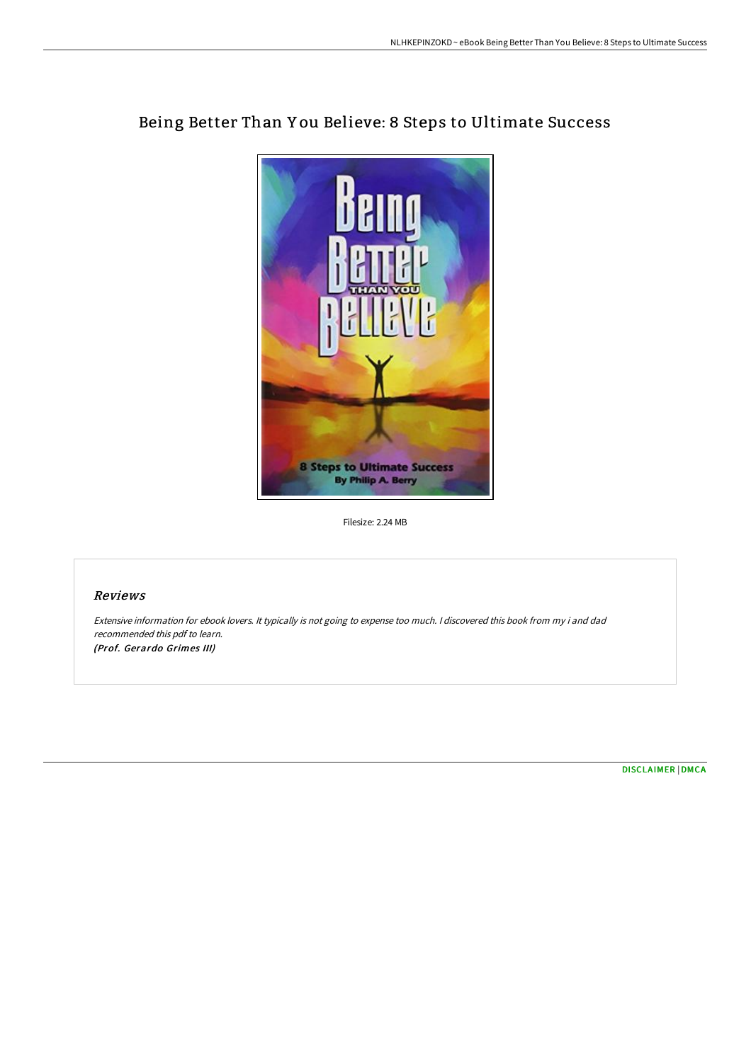

## Being Better Than Y ou Believe: 8 Steps to Ultimate Success

Filesize: 2.24 MB

## Reviews

Extensive information for ebook lovers. It typically is not going to expense too much. <sup>I</sup> discovered this book from my i and dad recommended this pdf to learn. (Prof. Gerardo Grimes III)

[DISCLAIMER](http://albedo.media/disclaimer.html) | [DMCA](http://albedo.media/dmca.html)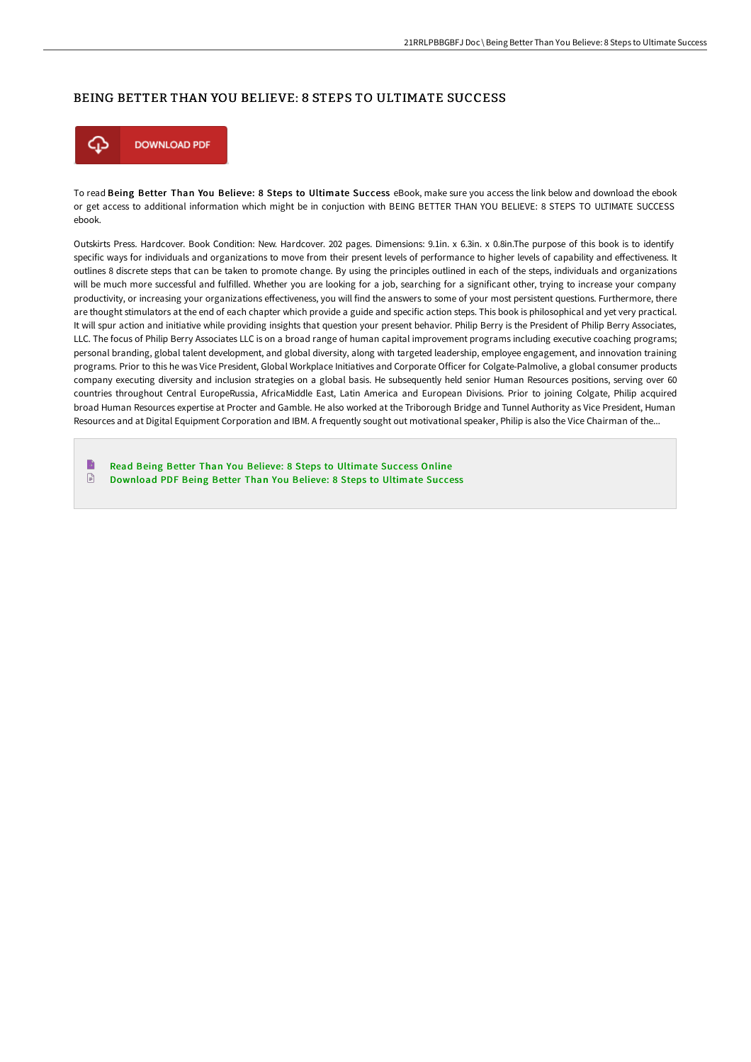## BEING BETTER THAN YOU BELIEVE: 8 STEPS TO ULTIMATE SUCCESS



To read Being Better Than You Believe: 8 Steps to Ultimate Success eBook, make sure you access the link below and download the ebook or get access to additional information which might be in conjuction with BEING BETTER THAN YOU BELIEVE: 8 STEPS TO ULTIMATE SUCCESS ebook.

Outskirts Press. Hardcover. Book Condition: New. Hardcover. 202 pages. Dimensions: 9.1in. x 6.3in. x 0.8in.The purpose of this book is to identify specific ways for individuals and organizations to move from their present levels of performance to higher levels of capability and effectiveness. It outlines 8 discrete steps that can be taken to promote change. By using the principles outlined in each of the steps, individuals and organizations will be much more successful and fulfilled. Whether you are looking for a job, searching for a significant other, trying to increase your company productivity, or increasing your organizations effectiveness, you will find the answers to some of your most persistent questions. Furthermore, there are thought stimulators at the end of each chapter which provide a guide and specific action steps. This book is philosophical and yet very practical. It will spur action and initiative while providing insights that question your present behavior. Philip Berry is the President of Philip Berry Associates, LLC. The focus of Philip Berry Associates LLC is on a broad range of human capital improvement programs including executive coaching programs; personal branding, global talent development, and global diversity, along with targeted leadership, employee engagement, and innovation training programs. Prior to this he was Vice President, Global Workplace Initiatives and Corporate Officer for Colgate-Palmolive, a global consumer products company executing diversity and inclusion strategies on a global basis. He subsequently held senior Human Resources positions, serving over 60 countries throughout Central EuropeRussia, AfricaMiddle East, Latin America and European Divisions. Prior to joining Colgate, Philip acquired broad Human Resources expertise at Procter and Gamble. He also worked at the Triborough Bridge and Tunnel Authority as Vice President, Human Resources and at Digital Equipment Corporation and IBM. A frequently sought out motivational speaker, Philip is also the Vice Chairman of the...

B Read Being Better Than You Believe: 8 Steps to [Ultimate](http://albedo.media/being-better-than-you-believe-8-steps-to-ultimat-1.html) Success Online  $\boxed{=}$ [Download](http://albedo.media/being-better-than-you-believe-8-steps-to-ultimat-1.html) PDF Being Better Than You Believe: 8 Steps to Ultimate Success